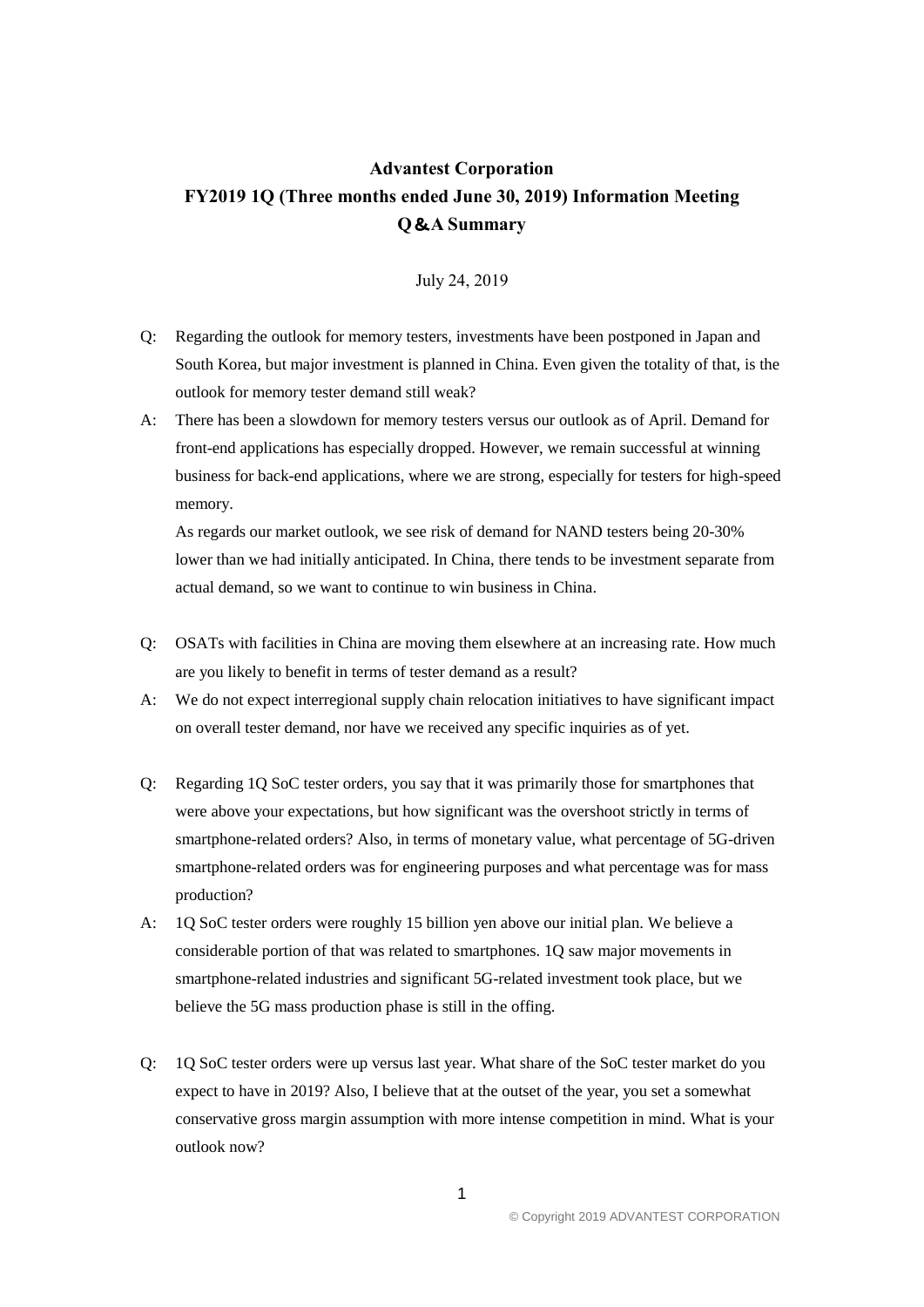## **Advantest Corporation FY2019 1Q (Three months ended June 30, 2019) Information Meeting Q**&**A Summary**

July 24, 2019

- Q: Regarding the outlook for memory testers, investments have been postponed in Japan and South Korea, but major investment is planned in China. Even given the totality of that, is the outlook for memory tester demand still weak?
- A: There has been a slowdown for memory testers versus our outlook as of April. Demand for front-end applications has especially dropped. However, we remain successful at winning business for back-end applications, where we are strong, especially for testers for high-speed memory.

As regards our market outlook, we see risk of demand for NAND testers being 20-30% lower than we had initially anticipated. In China, there tends to be investment separate from actual demand, so we want to continue to win business in China.

- Q: OSATs with facilities in China are moving them elsewhere at an increasing rate. How much are you likely to benefit in terms of tester demand as a result?
- A: We do not expect interregional supply chain relocation initiatives to have significant impact on overall tester demand, nor have we received any specific inquiries as of yet.
- Q: Regarding 1Q SoC tester orders, you say that it was primarily those for smartphones that were above your expectations, but how significant was the overshoot strictly in terms of smartphone-related orders? Also, in terms of monetary value, what percentage of 5G-driven smartphone-related orders was for engineering purposes and what percentage was for mass production?
- A: 1Q SoC tester orders were roughly 15 billion yen above our initial plan. We believe a considerable portion of that was related to smartphones. 1Q saw major movements in smartphone-related industries and significant 5G-related investment took place, but we believe the 5G mass production phase is still in the offing.
- Q: 1Q SoC tester orders were up versus last year. What share of the SoC tester market do you expect to have in 2019? Also, I believe that at the outset of the year, you set a somewhat conservative gross margin assumption with more intense competition in mind. What is your outlook now?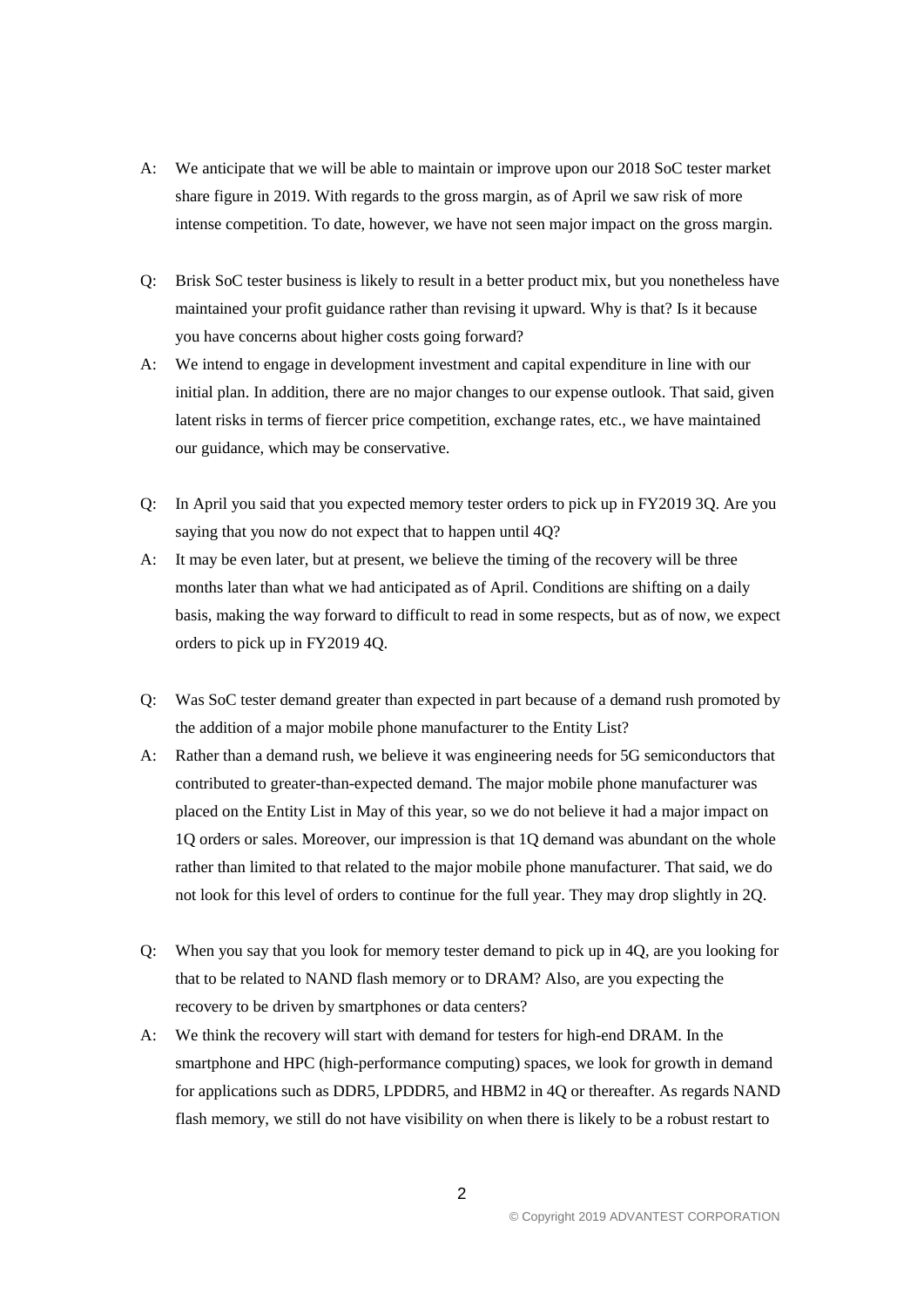- A: We anticipate that we will be able to maintain or improve upon our 2018 SoC tester market share figure in 2019. With regards to the gross margin, as of April we saw risk of more intense competition. To date, however, we have not seen major impact on the gross margin.
- Q: Brisk SoC tester business is likely to result in a better product mix, but you nonetheless have maintained your profit guidance rather than revising it upward. Why is that? Is it because you have concerns about higher costs going forward?
- A: We intend to engage in development investment and capital expenditure in line with our initial plan. In addition, there are no major changes to our expense outlook. That said, given latent risks in terms of fiercer price competition, exchange rates, etc., we have maintained our guidance, which may be conservative.
- Q: In April you said that you expected memory tester orders to pick up in FY2019 3Q. Are you saying that you now do not expect that to happen until 4Q?
- A: It may be even later, but at present, we believe the timing of the recovery will be three months later than what we had anticipated as of April. Conditions are shifting on a daily basis, making the way forward to difficult to read in some respects, but as of now, we expect orders to pick up in FY2019 4Q.
- Q: Was SoC tester demand greater than expected in part because of a demand rush promoted by the addition of a major mobile phone manufacturer to the Entity List?
- A: Rather than a demand rush, we believe it was engineering needs for 5G semiconductors that contributed to greater-than-expected demand. The major mobile phone manufacturer was placed on the Entity List in May of this year, so we do not believe it had a major impact on 1Q orders or sales. Moreover, our impression is that 1Q demand was abundant on the whole rather than limited to that related to the major mobile phone manufacturer. That said, we do not look for this level of orders to continue for the full year. They may drop slightly in 2Q.
- Q: When you say that you look for memory tester demand to pick up in 4Q, are you looking for that to be related to NAND flash memory or to DRAM? Also, are you expecting the recovery to be driven by smartphones or data centers?
- A: We think the recovery will start with demand for testers for high-end DRAM. In the smartphone and HPC (high-performance computing) spaces, we look for growth in demand for applications such as DDR5, LPDDR5, and HBM2 in 4Q or thereafter. As regards NAND flash memory, we still do not have visibility on when there is likely to be a robust restart to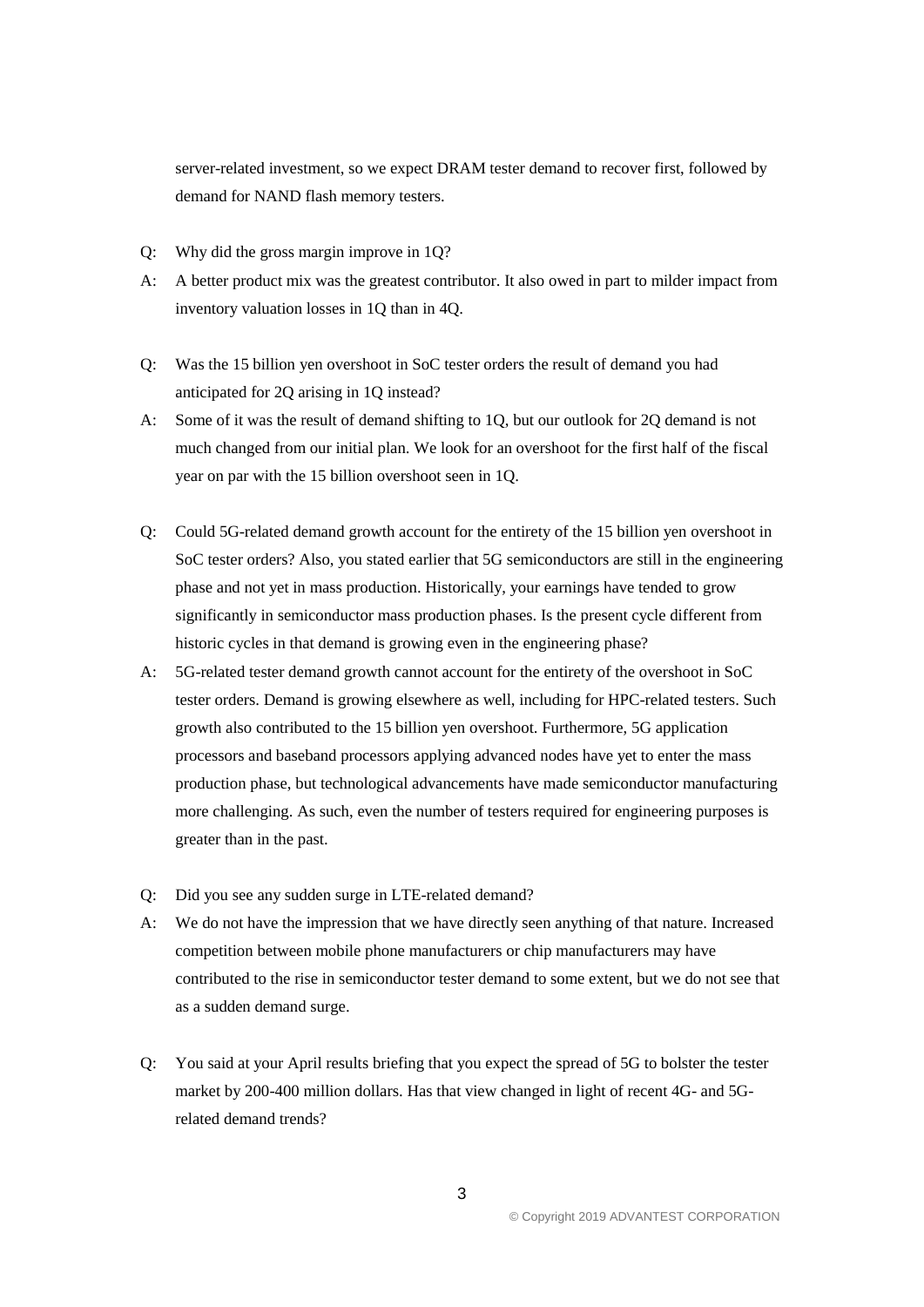server-related investment, so we expect DRAM tester demand to recover first, followed by demand for NAND flash memory testers.

- Q: Why did the gross margin improve in 1Q?
- A: A better product mix was the greatest contributor. It also owed in part to milder impact from inventory valuation losses in 1Q than in 4Q.
- Q: Was the 15 billion yen overshoot in SoC tester orders the result of demand you had anticipated for 2Q arising in 1Q instead?
- A: Some of it was the result of demand shifting to 1Q, but our outlook for 2Q demand is not much changed from our initial plan. We look for an overshoot for the first half of the fiscal year on par with the 15 billion overshoot seen in 1Q.
- Q: Could 5G-related demand growth account for the entirety of the 15 billion yen overshoot in SoC tester orders? Also, you stated earlier that 5G semiconductors are still in the engineering phase and not yet in mass production. Historically, your earnings have tended to grow significantly in semiconductor mass production phases. Is the present cycle different from historic cycles in that demand is growing even in the engineering phase?
- A: 5G-related tester demand growth cannot account for the entirety of the overshoot in SoC tester orders. Demand is growing elsewhere as well, including for HPC-related testers. Such growth also contributed to the 15 billion yen overshoot. Furthermore, 5G application processors and baseband processors applying advanced nodes have yet to enter the mass production phase, but technological advancements have made semiconductor manufacturing more challenging. As such, even the number of testers required for engineering purposes is greater than in the past.
- Q: Did you see any sudden surge in LTE-related demand?
- A: We do not have the impression that we have directly seen anything of that nature. Increased competition between mobile phone manufacturers or chip manufacturers may have contributed to the rise in semiconductor tester demand to some extent, but we do not see that as a sudden demand surge.
- Q: You said at your April results briefing that you expect the spread of 5G to bolster the tester market by 200-400 million dollars. Has that view changed in light of recent 4G- and 5Grelated demand trends?